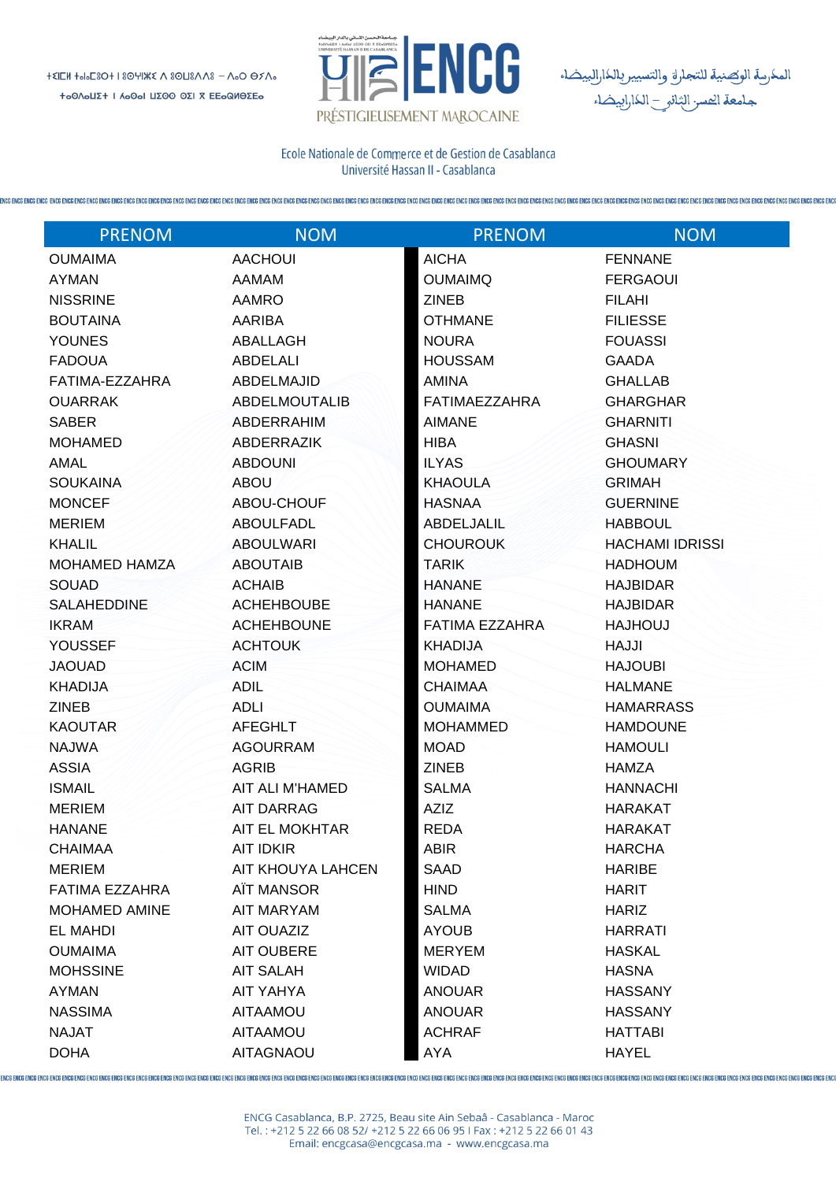

المكرسة الوكصنية للتجارة والتسييربالكارالييضاء<br>جامعة الحسر الثانو \_ الكاراييضاء

Ecole Nationale de Commerce et de Gestion de Casablanca Université Hassan II - Casablanca

| <b>PRENOM</b>        | <b>NOM</b>           | <b>PRENOM</b>         | <b>NOM</b>             |
|----------------------|----------------------|-----------------------|------------------------|
| <b>OUMAIMA</b>       | <b>AACHOUI</b>       | <b>AICHA</b>          | <b>FENNANE</b>         |
| <b>AYMAN</b>         | <b>AAMAM</b>         | <b>OUMAIMQ</b>        | <b>FERGAOUI</b>        |
| <b>NISSRINE</b>      | <b>AAMRO</b>         | <b>ZINEB</b>          | <b>FILAHI</b>          |
| <b>BOUTAINA</b>      | <b>AARIBA</b>        | <b>OTHMANE</b>        | <b>FILIESSE</b>        |
| <b>YOUNES</b>        | ABALLAGH             | <b>NOURA</b>          | <b>FOUASSI</b>         |
| <b>FADOUA</b>        | <b>ABDELALI</b>      | <b>HOUSSAM</b>        | <b>GAADA</b>           |
| FATIMA-EZZAHRA       | ABDELMAJID           | <b>AMINA</b>          | <b>GHALLAB</b>         |
| <b>OUARRAK</b>       | <b>ABDELMOUTALIB</b> | FATIMAEZZAHRA         | <b>GHARGHAR</b>        |
| <b>SABER</b>         | <b>ABDERRAHIM</b>    | <b>AIMANE</b>         | <b>GHARNITI</b>        |
| <b>MOHAMED</b>       | <b>ABDERRAZIK</b>    | <b>HIBA</b>           | <b>GHASNI</b>          |
| AMAL                 | <b>ABDOUNI</b>       | <b>ILYAS</b>          | <b>GHOUMARY</b>        |
| <b>SOUKAINA</b>      | <b>ABOU</b>          | <b>KHAOULA</b>        | <b>GRIMAH</b>          |
| <b>MONCEF</b>        | ABOU-CHOUF           | <b>HASNAA</b>         | <b>GUERNINE</b>        |
| <b>MERIEM</b>        | <b>ABOULFADL</b>     | <b>ABDELJALIL</b>     | <b>HABBOUL</b>         |
| <b>KHALIL</b>        | <b>ABOULWARI</b>     | <b>CHOUROUK</b>       | <b>HACHAMI IDRISSI</b> |
| <b>MOHAMED HAMZA</b> | <b>ABOUTAIB</b>      | <b>TARIK</b>          | <b>HADHOUM</b>         |
| SOUAD                | <b>ACHAIB</b>        | <b>HANANE</b>         | <b>HAJBIDAR</b>        |
| <b>SALAHEDDINE</b>   | <b>ACHEHBOUBE</b>    | <b>HANANE</b>         | <b>HAJBIDAR</b>        |
| <b>IKRAM</b>         | <b>ACHEHBOUNE</b>    | <b>FATIMA EZZAHRA</b> | <b>LUOHLAH</b>         |
| <b>YOUSSEF</b>       | <b>ACHTOUK</b>       | <b>KHADIJA</b>        | <b>HAJJI</b>           |
| <b>JAOUAD</b>        | <b>ACIM</b>          | <b>MOHAMED</b>        | <b>HAJOUBI</b>         |
| <b>KHADIJA</b>       | <b>ADIL</b>          | <b>CHAIMAA</b>        | <b>HALMANE</b>         |
| <b>ZINEB</b>         | <b>ADLI</b>          | <b>OUMAIMA</b>        | <b>HAMARRASS</b>       |
| <b>KAOUTAR</b>       | <b>AFEGHLT</b>       | <b>MOHAMMED</b>       | <b>HAMDOUNE</b>        |
| <b>NAJWA</b>         | <b>AGOURRAM</b>      | <b>MOAD</b>           | <b>HAMOULI</b>         |
| <b>ASSIA</b>         | <b>AGRIB</b>         | <b>ZINEB</b>          | <b>HAMZA</b>           |
| <b>ISMAIL</b>        | AIT ALI M'HAMED      | <b>SALMA</b>          | <b>HANNACHI</b>        |
| <b>MERIEM</b>        | <b>AIT DARRAG</b>    | AZIZ                  | <b>HARAKAT</b>         |
| <b>HANANE</b>        | AIT EL MOKHTAR       | <b>REDA</b>           | <b>HARAKAT</b>         |
| <b>CHAIMAA</b>       | <b>AIT IDKIR</b>     | <b>ABIR</b>           | <b>HARCHA</b>          |
| <b>MERIEM</b>        | AIT KHOUYA LAHCEN    | <b>SAAD</b>           | <b>HARIBE</b>          |
| FATIMA EZZAHRA       | AÏT MANSOR           | <b>HIND</b>           | <b>HARIT</b>           |
| <b>MOHAMED AMINE</b> | <b>AIT MARYAM</b>    | <b>SALMA</b>          | <b>HARIZ</b>           |
| <b>EL MAHDI</b>      | AIT OUAZIZ           | <b>AYOUB</b>          | <b>HARRATI</b>         |
| <b>OUMAIMA</b>       | <b>AIT OUBERE</b>    | <b>MERYEM</b>         | <b>HASKAL</b>          |
| <b>MOHSSINE</b>      | <b>AIT SALAH</b>     | <b>WIDAD</b>          | <b>HASNA</b>           |
| AYMAN                | <b>AIT YAHYA</b>     | <b>ANOUAR</b>         | <b>HASSANY</b>         |
| <b>NASSIMA</b>       | <b>AITAAMOU</b>      | <b>ANOUAR</b>         | <b>HASSANY</b>         |
| <b>NAJAT</b>         | <b>AITAAMOU</b>      | <b>ACHRAF</b>         | <b>HATTABI</b>         |
| <b>DOHA</b>          | <b>AITAGNAOU</b>     | AYA                   | <b>HAYEL</b>           |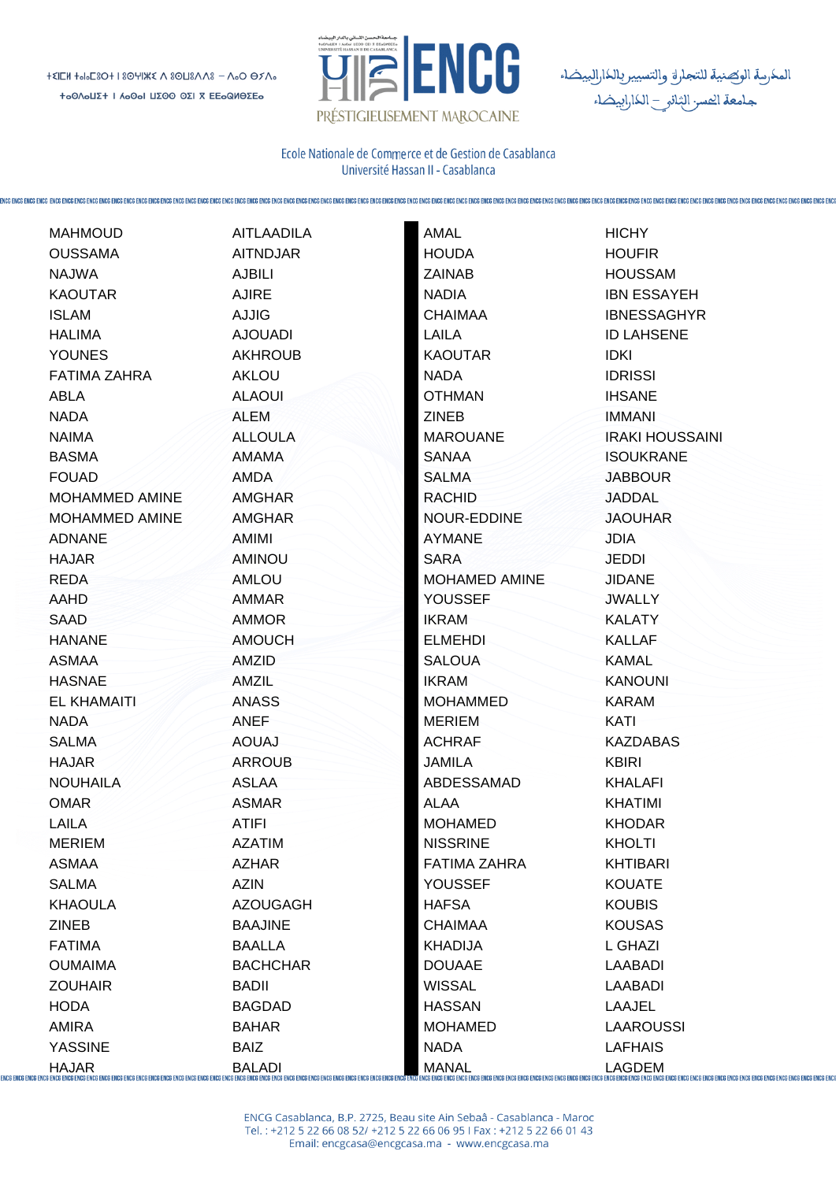

المكرسة الوكصنية للتجارق والتسيير بالكارالييضاء<br>جامعة الحسر الثانو \_ الكاراييضاء

Ecole Nationale de Commerce et de Gestion de Casablanca Université Hassan II - Casablanca

|                                 | <b>MAHMOUD</b>      | <b>AITLAADILA</b> | AMAL                 | <b>HICHY</b>           |
|---------------------------------|---------------------|-------------------|----------------------|------------------------|
|                                 | <b>OUSSAMA</b>      | <b>AITNDJAR</b>   | <b>HOUDA</b>         | <b>HOUFIR</b>          |
|                                 | <b>NAJWA</b>        | <b>AJBILI</b>     | <b>ZAINAB</b>        | <b>HOUSSAM</b>         |
|                                 | <b>KAOUTAR</b>      | <b>AJIRE</b>      | <b>NADIA</b>         | <b>IBN ESSAYEH</b>     |
|                                 | <b>ISLAM</b>        | <b>AJJIG</b>      | <b>CHAIMAA</b>       | <b>IBNESSAGHYR</b>     |
|                                 | <b>HALIMA</b>       | <b>AJOUADI</b>    | <b>LAILA</b>         | <b>ID LAHSENE</b>      |
|                                 | <b>YOUNES</b>       | <b>AKHROUB</b>    | <b>KAOUTAR</b>       | <b>IDKI</b>            |
|                                 | <b>FATIMA ZAHRA</b> | <b>AKLOU</b>      | <b>NADA</b>          | <b>IDRISSI</b>         |
|                                 | ABLA                | <b>ALAOUI</b>     | <b>OTHMAN</b>        | <b>IHSANE</b>          |
|                                 | <b>NADA</b>         | ALEM              | <b>ZINEB</b>         | <b>IMMANI</b>          |
|                                 | <b>NAIMA</b>        | <b>ALLOULA</b>    | <b>MAROUANE</b>      | <b>IRAKI HOUSSAINI</b> |
|                                 | <b>BASMA</b>        | AMAMA             | <b>SANAA</b>         | <b>ISOUKRANE</b>       |
|                                 | <b>FOUAD</b>        | AMDA              | <b>SALMA</b>         | <b>JABBOUR</b>         |
|                                 | MOHAMMED AMINE      | <b>AMGHAR</b>     | <b>RACHID</b>        | JADDAL                 |
|                                 | MOHAMMED AMINE      | <b>AMGHAR</b>     | NOUR-EDDINE          | <b>JAOUHAR</b>         |
|                                 | <b>ADNANE</b>       | AMIMI             | <b>AYMANE</b>        | <b>JDIA</b>            |
|                                 | <b>HAJAR</b>        | <b>AMINOU</b>     | <b>SARA</b>          | <b>JEDDI</b>           |
|                                 | <b>REDA</b>         | <b>AMLOU</b>      | <b>MOHAMED AMINE</b> | <b>JIDANE</b>          |
|                                 | AAHD                | <b>AMMAR</b>      | YOUSSEF              | <b>JWALLY</b>          |
|                                 | SAAD                | <b>AMMOR</b>      | <b>IKRAM</b>         | <b>KALATY</b>          |
|                                 | <b>HANANE</b>       | <b>AMOUCH</b>     | <b>ELMEHDI-</b>      | KALLAF                 |
|                                 | <b>ASMAA</b>        | AMZID             | <b>SALOUA</b>        | <b>KAMAL</b>           |
|                                 | <b>HASNAE</b>       | AMZIL             | <b>IKRAM</b>         | <b>KANOUNI</b>         |
|                                 | <b>EL KHAMAITI</b>  | <b>ANASS</b>      | <b>MOHAMMED</b>      | <b>KARAM</b>           |
|                                 | <b>NADA</b>         | <b>ANEF</b>       | <b>MERIEM</b>        | KATI                   |
|                                 | <b>SALMA</b>        | <b>AOUAJ</b>      | <b>ACHRAF</b>        | <b>KAZDABAS</b>        |
|                                 | <b>HAJAR</b>        | <b>ARROUB</b>     | JAMILA               | <b>KBIRI</b>           |
|                                 | <b>NOUHAILA</b>     | <b>ASLAA</b>      | ABDESSAMAD           | <b>KHALAFI</b>         |
|                                 | <b>OMAR</b>         | <b>ASMAR</b>      | ALAA                 | <b>KHATIMI</b>         |
|                                 | LAILA               | <b>ATIFI</b>      | <b>MOHAMED</b>       | <b>KHODAR</b>          |
|                                 | <b>MERIEM</b>       | <b>AZATIM</b>     | <b>NISSRINE</b>      | <b>KHOLTI</b>          |
|                                 | <b>ASMAA</b>        | <b>AZHAR</b>      | <b>FATIMA ZAHRA</b>  | <b>KHTIBARI</b>        |
|                                 | <b>SALMA</b>        | <b>AZIN</b>       | <b>YOUSSEF</b>       | <b>KOUATE</b>          |
|                                 | <b>KHAOULA</b>      | <b>AZOUGAGH</b>   | <b>HAFSA</b>         | <b>KOUBIS</b>          |
|                                 | <b>ZINEB</b>        | <b>BAAJINE</b>    | <b>CHAIMAA</b>       | <b>KOUSAS</b>          |
|                                 | <b>FATIMA</b>       | <b>BAALLA</b>     | <b>KHADIJA</b>       | L GHAZI                |
|                                 | <b>OUMAIMA</b>      | <b>BACHCHAR</b>   | <b>DOUAAE</b>        | <b>LAABADI</b>         |
|                                 | <b>ZOUHAIR</b>      | <b>BADII</b>      | <b>WISSAL</b>        | <b>LAABADI</b>         |
|                                 | <b>HODA</b>         | <b>BAGDAD</b>     | <b>HASSAN</b>        | LAAJEL                 |
|                                 | AMIRA               | <b>BAHAR</b>      | <b>MOHAMED</b>       | <b>LAAROUSSI</b>       |
|                                 | <b>YASSINE</b>      | <b>BAIZ</b>       | <b>NADA</b>          | <b>LAFHAIS</b>         |
| ENCG ENCG ENCG ENCG ENCG ENCG I | <b>HAJAR</b>        | <b>BALADI</b>     | <b>MANAL</b>         | <b>LAGDEM</b>          |
|                                 |                     |                   |                      |                        |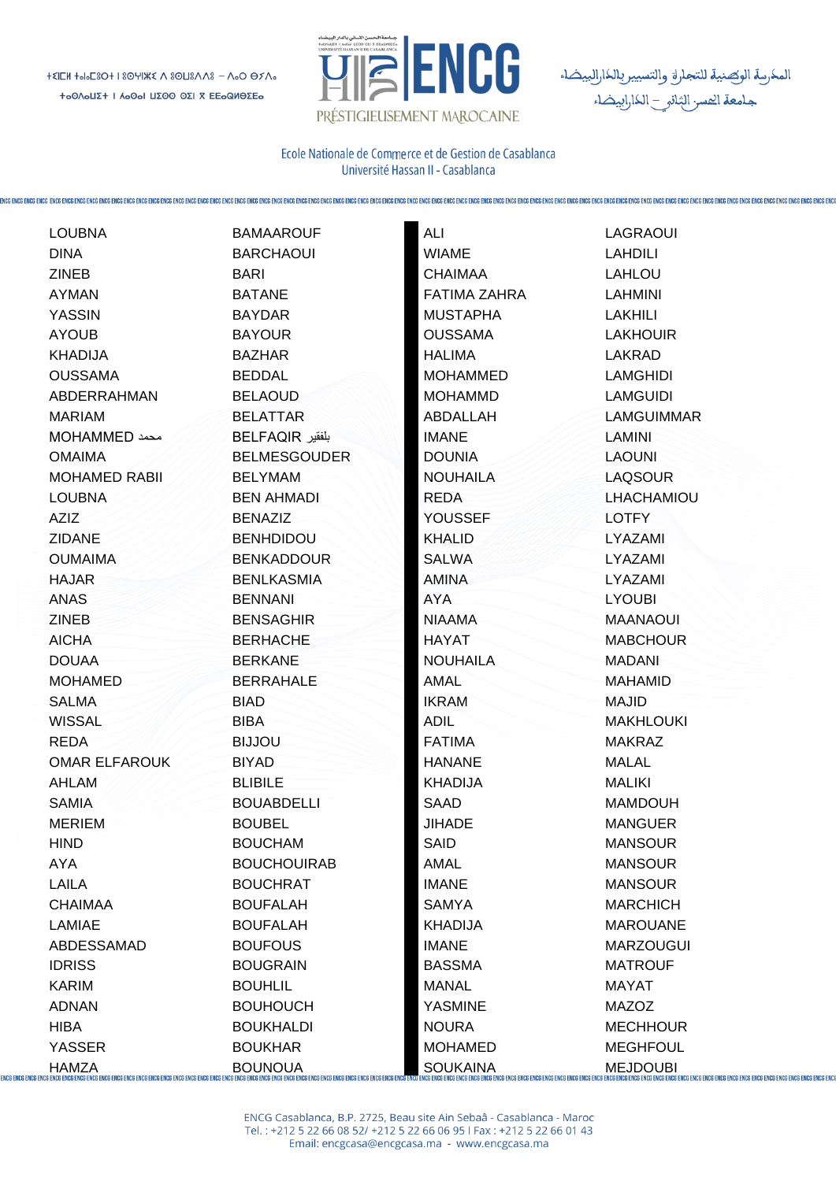

المكرسة الوكصنية للتجاراة والتسيير بالكارالبيضاء<br>جامعة الحسر الثانو \_ الكارابيضاء

Ecole Nationale de Commerce et de Gestion de Casablanca Université Hassan II - Casablanca

|                                 | <b>LOUBNA</b>                                      | <b>BAMAAROUF</b>                                  | ALI                 | LAGRAOUI         |
|---------------------------------|----------------------------------------------------|---------------------------------------------------|---------------------|------------------|
|                                 | <b>DINA</b>                                        | <b>BARCHAOUI</b>                                  | <b>WIAME</b>        | <b>LAHDILI</b>   |
|                                 | <b>ZINEB</b>                                       | <b>BARI</b>                                       | <b>CHAIMAA</b>      | <b>LAHLOU</b>    |
|                                 | <b>AYMAN</b>                                       | <b>BATANE</b>                                     | <b>FATIMA ZAHRA</b> | <b>LAHMINI</b>   |
|                                 | <b>YASSIN</b>                                      | <b>BAYDAR</b>                                     | <b>MUSTAPHA</b>     | <b>LAKHILI</b>   |
|                                 | <b>AYOUB</b>                                       | <b>BAYOUR</b>                                     | <b>OUSSAMA</b>      | <b>LAKHOUIR</b>  |
|                                 | <b>KHADIJA</b>                                     | <b>BAZHAR</b>                                     | <b>HALIMA</b>       | LAKRAD           |
|                                 | <b>OUSSAMA</b>                                     | <b>BEDDAL</b>                                     | <b>MOHAMMED</b>     | <b>LAMGHIDI</b>  |
|                                 | ABDERRAHMAN                                        | <b>BELAOUD</b>                                    | <b>MOHAMMD</b>      | <b>LAMGUIDI</b>  |
|                                 | <b>MARIAM</b>                                      | <b>BELATTAR</b>                                   | ABDALLAH            | LAMGUIMMAR       |
|                                 | MOHAMMED محمد                                      | بلفقير BELFAQIR                                   | <b>IMANE</b>        | LAMINI           |
|                                 | <b>OMAIMA</b>                                      | <b>BELMESGOUDER</b>                               | <b>DOUNIA</b>       | <b>LAOUNI</b>    |
|                                 | <b>MOHAMED RABII</b>                               | <b>BELYMAM</b>                                    | <b>NOUHAILA</b>     | <b>LAQSOUR</b>   |
|                                 | <b>LOUBNA</b>                                      | <b>BEN AHMADI</b>                                 | <b>REDA</b>         | LHACHAMIOU       |
|                                 | AZIZ                                               | <b>BENAZIZ</b>                                    | <b>YOUSSEF</b>      | <b>LOTFY</b>     |
|                                 | <b>ZIDANE</b>                                      | <b>BENHDIDOU</b>                                  | <b>KHALID</b>       | LYAZAMI          |
|                                 | <b>OUMAIMA</b>                                     | <b>BENKADDOUR</b>                                 | <b>SALWA</b>        | LYAZAMI          |
|                                 | <b>HAJAR</b>                                       | <b>BENLKASMIA</b>                                 | <b>AMINA</b>        | LYAZAMI          |
|                                 | ANAS                                               | <b>BENNANI</b>                                    | <b>AYA</b>          | <b>LYOUBI</b>    |
|                                 | <b>ZINEB</b>                                       | <b>BENSAGHIR</b>                                  | <b>NIAAMA</b>       | MAANAOUI         |
|                                 | <b>AICHA</b>                                       | <b>BERHACHE</b>                                   | HAYAT               | <b>MABCHOUR</b>  |
|                                 | <b>DOUAA</b>                                       | <b>BERKANE</b>                                    | <b>NOUHAILA</b>     | <b>MADANI</b>    |
|                                 | <b>MOHAMED</b>                                     | <b>BERRAHALE</b>                                  | <b>AMAL</b>         | <b>MAHAMID</b>   |
|                                 | <b>SALMA</b>                                       | <b>BIAD</b>                                       | <b>IKRAM</b>        | <b>MAJID</b>     |
|                                 | <b>WISSAL</b>                                      | <b>BIBA</b>                                       | <b>ADIL</b>         | <b>MAKHLOUKI</b> |
|                                 | <b>REDA</b>                                        | <b>BIJJOU</b>                                     | <b>FATIMA</b>       | <b>MAKRAZ</b>    |
|                                 | <b>OMAR ELFAROUK</b>                               | <b>BIYAD</b>                                      | <b>HANANE</b>       | <b>MALAL</b>     |
|                                 | AHLAM                                              | <b>BLIBILE</b>                                    | <b>KHADIJA</b>      | MALIKI           |
|                                 | <b>SAMIA</b>                                       | <b>BOUABDELLI</b>                                 | <b>SAAD</b>         | <b>MAMDOUH</b>   |
|                                 | <b>MERIEM</b>                                      | <b>BOUBEL</b>                                     | <b>JIHADE</b>       | <b>MANGUER</b>   |
|                                 | <b>HIND</b>                                        | <b>BOUCHAM</b>                                    | SAID                | <b>MANSOUR</b>   |
|                                 | <b>AYA</b>                                         | <b>BOUCHOUIRAB</b>                                | AMAL                | <b>MANSOUR</b>   |
|                                 | <b>LAILA</b>                                       | <b>BOUCHRAT</b>                                   | <b>IMANE</b>        | <b>MANSOUR</b>   |
|                                 | <b>CHAIMAA</b>                                     | <b>BOUFALAH</b>                                   | <b>SAMYA</b>        | <b>MARCHICH</b>  |
|                                 | LAMIAE                                             | <b>BOUFALAH</b>                                   | <b>KHADIJA</b>      | <b>MAROUANE</b>  |
|                                 | ABDESSAMAD                                         | <b>BOUFOUS</b>                                    | <b>IMANE</b>        | <b>MARZOUGUI</b> |
|                                 | <b>IDRISS</b>                                      | <b>BOUGRAIN</b>                                   | <b>BASSMA</b>       | <b>MATROUF</b>   |
|                                 | <b>KARIM</b>                                       | <b>BOUHLIL</b>                                    | <b>MANAL</b>        | MAYAT            |
|                                 | <b>ADNAN</b>                                       | <b>BOUHOUCH</b>                                   | <b>YASMINE</b>      | <b>MAZOZ</b>     |
|                                 | <b>HIBA</b>                                        | <b>BOUKHALDI</b>                                  | <b>NOURA</b>        | <b>MECHHOUR</b>  |
|                                 | <b>YASSER</b>                                      | <b>BOUKHAR</b>                                    | <b>MOHAMED</b>      | <b>MEGHFOUL</b>  |
| <b>INCG ENCG ENCG ENCG ENCI</b> | $HAMZA$<br>Fres ence ence ence ence ence ence ence | <b>BOUNOUA</b><br>R FNCR ENCE ENCE ENCE ENCE ENCE | SOUKAINA            |                  |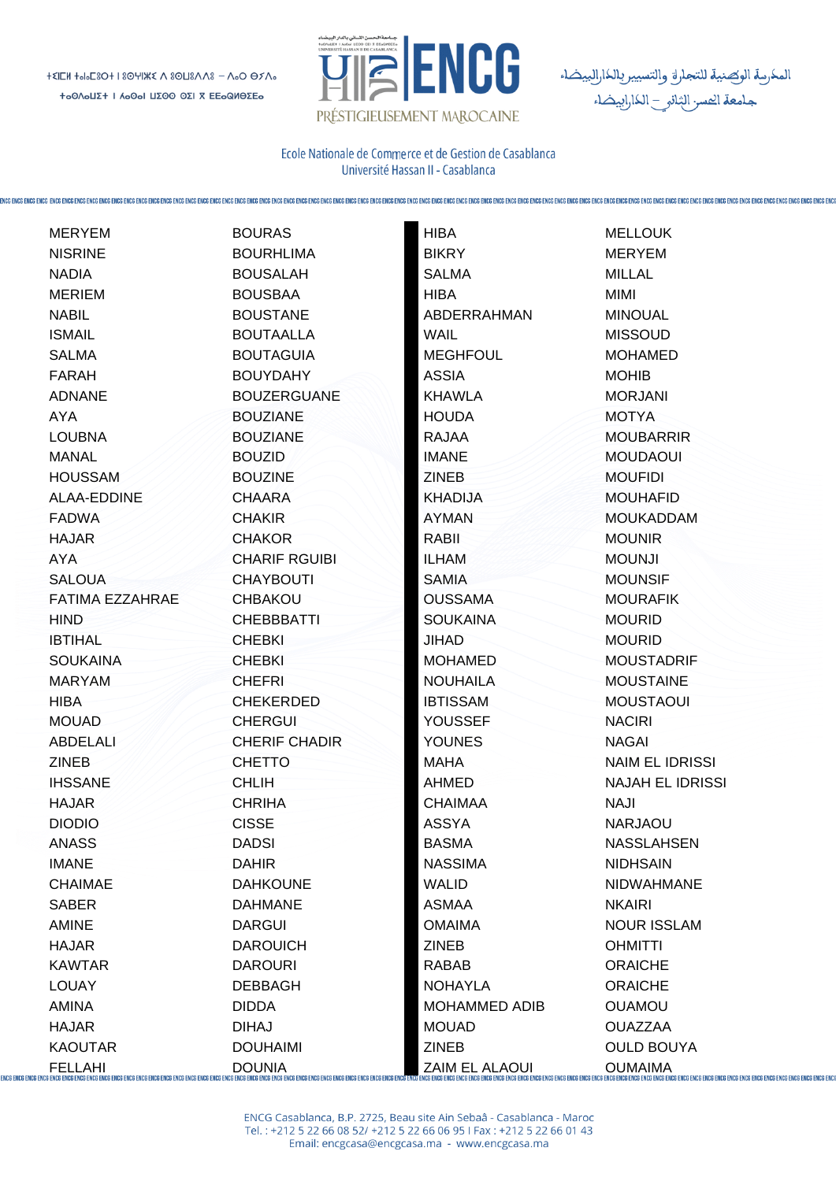

المكرسة الوكصنية للتجاراة والتسيير بالكارالييضاء<br>جامعة الحسر الثانو \_ الكارابيضاء

Ecole Nationale de Commerce et de Gestion de Casablanca Université Hassan II - Casablanca

| <b>BIKRY</b><br><b>NISRINE</b><br><b>BOURHLIMA</b><br><b>MERYEM</b><br><b>NADIA</b><br><b>BOUSALAH</b><br><b>SALMA</b><br>MILLAL<br><b>MERIEM</b><br><b>BOUSBAA</b><br><b>HIBA</b><br>MIMI<br><b>NABIL</b><br><b>BOUSTANE</b><br>ABDERRAHMAN<br><b>MINOUAL</b><br><b>WAIL</b><br><b>ISMAIL</b><br><b>BOUTAALLA</b><br><b>MISSOUD</b><br><b>SALMA</b><br><b>BOUTAGUIA</b><br><b>MEGHFOUL</b><br><b>MOHAMED</b><br><b>ASSIA</b><br>FARAH<br><b>BOUYDAHY</b><br><b>MOHIB</b><br><b>ADNANE</b><br><b>BOUZERGUANE</b><br><b>KHAWLA</b><br><b>MORJANI</b><br><b>HOUDA</b><br>AYA<br><b>BOUZIANE</b><br><b>MOTYA</b><br><b>LOUBNA</b><br><b>BOUZIANE</b><br><b>RAJAA</b><br><b>MOUBARRIR</b><br><b>MANAL</b><br><b>BOUZID</b><br><b>IMANE</b><br><b>MOUDAOUI</b><br><b>HOUSSAM</b><br><b>BOUZINE</b><br><b>ZINEB</b><br><b>MOUFIDI</b><br>ALAA-EDDINE<br><b>CHAARA</b><br><b>KHADIJA</b><br><b>MOUHAFID</b><br><b>AYMAN</b><br><b>FADWA</b><br><b>CHAKIR</b><br><b>MOUKADDAM</b><br>RABII<br><b>HAJAR</b><br><b>CHAKOR</b><br><b>MOUNIR</b><br>AYA<br><b>CHARIF RGUIBI</b><br><b>ILHAM</b><br><b>MOUNJI</b><br><b>SALOUA</b><br><b>CHAYBOUTI</b><br><b>SAMIA</b><br><b>MOUNSIF</b><br><b>FATIMA EZZAHRAE</b><br><b>CHBAKOU</b><br><b>OUSSAMA</b><br><b>MOURAFIK</b><br><b>HIND</b><br><b>CHEBBBATTI</b><br><b>SOUKAINA</b><br><b>MOURID</b><br><b>IBTIHAL</b><br><b>CHEBKI</b><br><b>JIHAD</b><br><b>MOURID</b><br><b>SOUKAINA</b><br><b>CHEBKI</b><br><b>MOHAMED</b><br><b>MOUSTADRIF</b><br><b>MARYAM</b><br><b>CHEFRI</b><br><b>NOUHAILA</b><br><b>MOUSTAINE</b><br><b>IBTISSAM</b><br><b>HIBA</b><br><b>CHEKERDED</b><br><b>MOUSTAOUI</b><br>YOUSSEF<br><b>MOUAD</b><br><b>CHERGUL</b><br><b>NACIRI</b><br>ABDELALI<br><b>CHERIF CHADIR</b><br><b>YOUNES</b><br><b>NAGAI</b><br><b>ZINEB</b><br><b>MAHA</b><br><b>CHETTO</b><br>NAIM EL IDRISSI<br><b>IHSSANE</b><br><b>CHLIH</b><br>AHMED<br><b>NAJAH EL IDRISSI</b><br><b>CHRIHA</b><br><b>NAJI</b><br><b>HAJAR</b><br><b>CHAIMAA</b><br><b>ASSYA</b><br><b>DIODIO</b><br><b>CISSE</b><br><b>NARJAOU</b><br><b>ANASS</b><br><b>DADSI</b><br><b>BASMA</b><br><b>NASSLAHSEN</b><br><b>IMANE</b><br><b>DAHIR</b><br><b>NASSIMA</b><br><b>NIDHSAIN</b><br><b>CHAIMAE</b><br><b>WALID</b><br><b>DAHKOUNE</b><br><b>NIDWAHMANE</b><br><b>SABER</b><br><b>ASMAA</b><br><b>DAHMANE</b><br><b>NKAIRI</b><br><b>AMINE</b><br><b>DARGUI</b><br><b>OMAIMA</b><br><b>NOUR ISSLAM</b><br><b>HAJAR</b><br><b>DAROUICH</b><br><b>ZINEB</b><br><b>OHMITTI</b><br><b>KAWTAR</b><br><b>DAROURI</b><br>RABAB<br><b>ORAICHE</b><br><b>LOUAY</b><br><b>DEBBAGH</b><br><b>NOHAYLA</b><br><b>ORAICHE</b><br>AMINA<br><b>DIDDA</b><br><b>MOHAMMED ADIB</b><br><b>OUAMOU</b><br><b>HAJAR</b><br><b>DIHAJ</b><br><b>MOUAD</b><br><b>OUAZZAA</b><br><b>KAOUTAR</b><br><b>DOUHAIMI</b><br><b>ZINEB</b><br><b>OULD BOUYA</b><br>FELLAHI DOUNIA SER BERGENGE BIG BIG SERIES ENGERIG ENGERIG ENGERIG ENGERIG ENGERIG ENGERIG ENGERIG ENGERIG ENGERIG ENGERIG ENGERIG ENGERIG ENGERIG ENGERIG ENGERIG ENGERIG ENGERIG ENGERIG ENGERIG ENGERIG ENGERIG ENGERIG ENG | <b>MERYEM</b> | <b>BOURAS</b> | <b>HIBA</b> | <b>MELLOUK</b> |
|---------------------------------------------------------------------------------------------------------------------------------------------------------------------------------------------------------------------------------------------------------------------------------------------------------------------------------------------------------------------------------------------------------------------------------------------------------------------------------------------------------------------------------------------------------------------------------------------------------------------------------------------------------------------------------------------------------------------------------------------------------------------------------------------------------------------------------------------------------------------------------------------------------------------------------------------------------------------------------------------------------------------------------------------------------------------------------------------------------------------------------------------------------------------------------------------------------------------------------------------------------------------------------------------------------------------------------------------------------------------------------------------------------------------------------------------------------------------------------------------------------------------------------------------------------------------------------------------------------------------------------------------------------------------------------------------------------------------------------------------------------------------------------------------------------------------------------------------------------------------------------------------------------------------------------------------------------------------------------------------------------------------------------------------------------------------------------------------------------------------------------------------------------------------------------------------------------------------------------------------------------------------------------------------------------------------------------------------------------------------------------------------------------------------------------------------------------------------------------------------------------------------------------------------------------------------------------------------------------------------------------------------------------------------------------------------------------------------------------------------------------------------------------------------------------------------------------------------------------------------------------------------------------------------------------------------------------------------------------------------------------------------------------------------------------------------------------|---------------|---------------|-------------|----------------|
|                                                                                                                                                                                                                                                                                                                                                                                                                                                                                                                                                                                                                                                                                                                                                                                                                                                                                                                                                                                                                                                                                                                                                                                                                                                                                                                                                                                                                                                                                                                                                                                                                                                                                                                                                                                                                                                                                                                                                                                                                                                                                                                                                                                                                                                                                                                                                                                                                                                                                                                                                                                                                                                                                                                                                                                                                                                                                                                                                                                                                                                                                 |               |               |             |                |
|                                                                                                                                                                                                                                                                                                                                                                                                                                                                                                                                                                                                                                                                                                                                                                                                                                                                                                                                                                                                                                                                                                                                                                                                                                                                                                                                                                                                                                                                                                                                                                                                                                                                                                                                                                                                                                                                                                                                                                                                                                                                                                                                                                                                                                                                                                                                                                                                                                                                                                                                                                                                                                                                                                                                                                                                                                                                                                                                                                                                                                                                                 |               |               |             |                |
|                                                                                                                                                                                                                                                                                                                                                                                                                                                                                                                                                                                                                                                                                                                                                                                                                                                                                                                                                                                                                                                                                                                                                                                                                                                                                                                                                                                                                                                                                                                                                                                                                                                                                                                                                                                                                                                                                                                                                                                                                                                                                                                                                                                                                                                                                                                                                                                                                                                                                                                                                                                                                                                                                                                                                                                                                                                                                                                                                                                                                                                                                 |               |               |             |                |
|                                                                                                                                                                                                                                                                                                                                                                                                                                                                                                                                                                                                                                                                                                                                                                                                                                                                                                                                                                                                                                                                                                                                                                                                                                                                                                                                                                                                                                                                                                                                                                                                                                                                                                                                                                                                                                                                                                                                                                                                                                                                                                                                                                                                                                                                                                                                                                                                                                                                                                                                                                                                                                                                                                                                                                                                                                                                                                                                                                                                                                                                                 |               |               |             |                |
|                                                                                                                                                                                                                                                                                                                                                                                                                                                                                                                                                                                                                                                                                                                                                                                                                                                                                                                                                                                                                                                                                                                                                                                                                                                                                                                                                                                                                                                                                                                                                                                                                                                                                                                                                                                                                                                                                                                                                                                                                                                                                                                                                                                                                                                                                                                                                                                                                                                                                                                                                                                                                                                                                                                                                                                                                                                                                                                                                                                                                                                                                 |               |               |             |                |
|                                                                                                                                                                                                                                                                                                                                                                                                                                                                                                                                                                                                                                                                                                                                                                                                                                                                                                                                                                                                                                                                                                                                                                                                                                                                                                                                                                                                                                                                                                                                                                                                                                                                                                                                                                                                                                                                                                                                                                                                                                                                                                                                                                                                                                                                                                                                                                                                                                                                                                                                                                                                                                                                                                                                                                                                                                                                                                                                                                                                                                                                                 |               |               |             |                |
|                                                                                                                                                                                                                                                                                                                                                                                                                                                                                                                                                                                                                                                                                                                                                                                                                                                                                                                                                                                                                                                                                                                                                                                                                                                                                                                                                                                                                                                                                                                                                                                                                                                                                                                                                                                                                                                                                                                                                                                                                                                                                                                                                                                                                                                                                                                                                                                                                                                                                                                                                                                                                                                                                                                                                                                                                                                                                                                                                                                                                                                                                 |               |               |             |                |
|                                                                                                                                                                                                                                                                                                                                                                                                                                                                                                                                                                                                                                                                                                                                                                                                                                                                                                                                                                                                                                                                                                                                                                                                                                                                                                                                                                                                                                                                                                                                                                                                                                                                                                                                                                                                                                                                                                                                                                                                                                                                                                                                                                                                                                                                                                                                                                                                                                                                                                                                                                                                                                                                                                                                                                                                                                                                                                                                                                                                                                                                                 |               |               |             |                |
|                                                                                                                                                                                                                                                                                                                                                                                                                                                                                                                                                                                                                                                                                                                                                                                                                                                                                                                                                                                                                                                                                                                                                                                                                                                                                                                                                                                                                                                                                                                                                                                                                                                                                                                                                                                                                                                                                                                                                                                                                                                                                                                                                                                                                                                                                                                                                                                                                                                                                                                                                                                                                                                                                                                                                                                                                                                                                                                                                                                                                                                                                 |               |               |             |                |
|                                                                                                                                                                                                                                                                                                                                                                                                                                                                                                                                                                                                                                                                                                                                                                                                                                                                                                                                                                                                                                                                                                                                                                                                                                                                                                                                                                                                                                                                                                                                                                                                                                                                                                                                                                                                                                                                                                                                                                                                                                                                                                                                                                                                                                                                                                                                                                                                                                                                                                                                                                                                                                                                                                                                                                                                                                                                                                                                                                                                                                                                                 |               |               |             |                |
|                                                                                                                                                                                                                                                                                                                                                                                                                                                                                                                                                                                                                                                                                                                                                                                                                                                                                                                                                                                                                                                                                                                                                                                                                                                                                                                                                                                                                                                                                                                                                                                                                                                                                                                                                                                                                                                                                                                                                                                                                                                                                                                                                                                                                                                                                                                                                                                                                                                                                                                                                                                                                                                                                                                                                                                                                                                                                                                                                                                                                                                                                 |               |               |             |                |
|                                                                                                                                                                                                                                                                                                                                                                                                                                                                                                                                                                                                                                                                                                                                                                                                                                                                                                                                                                                                                                                                                                                                                                                                                                                                                                                                                                                                                                                                                                                                                                                                                                                                                                                                                                                                                                                                                                                                                                                                                                                                                                                                                                                                                                                                                                                                                                                                                                                                                                                                                                                                                                                                                                                                                                                                                                                                                                                                                                                                                                                                                 |               |               |             |                |
|                                                                                                                                                                                                                                                                                                                                                                                                                                                                                                                                                                                                                                                                                                                                                                                                                                                                                                                                                                                                                                                                                                                                                                                                                                                                                                                                                                                                                                                                                                                                                                                                                                                                                                                                                                                                                                                                                                                                                                                                                                                                                                                                                                                                                                                                                                                                                                                                                                                                                                                                                                                                                                                                                                                                                                                                                                                                                                                                                                                                                                                                                 |               |               |             |                |
|                                                                                                                                                                                                                                                                                                                                                                                                                                                                                                                                                                                                                                                                                                                                                                                                                                                                                                                                                                                                                                                                                                                                                                                                                                                                                                                                                                                                                                                                                                                                                                                                                                                                                                                                                                                                                                                                                                                                                                                                                                                                                                                                                                                                                                                                                                                                                                                                                                                                                                                                                                                                                                                                                                                                                                                                                                                                                                                                                                                                                                                                                 |               |               |             |                |
|                                                                                                                                                                                                                                                                                                                                                                                                                                                                                                                                                                                                                                                                                                                                                                                                                                                                                                                                                                                                                                                                                                                                                                                                                                                                                                                                                                                                                                                                                                                                                                                                                                                                                                                                                                                                                                                                                                                                                                                                                                                                                                                                                                                                                                                                                                                                                                                                                                                                                                                                                                                                                                                                                                                                                                                                                                                                                                                                                                                                                                                                                 |               |               |             |                |
|                                                                                                                                                                                                                                                                                                                                                                                                                                                                                                                                                                                                                                                                                                                                                                                                                                                                                                                                                                                                                                                                                                                                                                                                                                                                                                                                                                                                                                                                                                                                                                                                                                                                                                                                                                                                                                                                                                                                                                                                                                                                                                                                                                                                                                                                                                                                                                                                                                                                                                                                                                                                                                                                                                                                                                                                                                                                                                                                                                                                                                                                                 |               |               |             |                |
|                                                                                                                                                                                                                                                                                                                                                                                                                                                                                                                                                                                                                                                                                                                                                                                                                                                                                                                                                                                                                                                                                                                                                                                                                                                                                                                                                                                                                                                                                                                                                                                                                                                                                                                                                                                                                                                                                                                                                                                                                                                                                                                                                                                                                                                                                                                                                                                                                                                                                                                                                                                                                                                                                                                                                                                                                                                                                                                                                                                                                                                                                 |               |               |             |                |
|                                                                                                                                                                                                                                                                                                                                                                                                                                                                                                                                                                                                                                                                                                                                                                                                                                                                                                                                                                                                                                                                                                                                                                                                                                                                                                                                                                                                                                                                                                                                                                                                                                                                                                                                                                                                                                                                                                                                                                                                                                                                                                                                                                                                                                                                                                                                                                                                                                                                                                                                                                                                                                                                                                                                                                                                                                                                                                                                                                                                                                                                                 |               |               |             |                |
|                                                                                                                                                                                                                                                                                                                                                                                                                                                                                                                                                                                                                                                                                                                                                                                                                                                                                                                                                                                                                                                                                                                                                                                                                                                                                                                                                                                                                                                                                                                                                                                                                                                                                                                                                                                                                                                                                                                                                                                                                                                                                                                                                                                                                                                                                                                                                                                                                                                                                                                                                                                                                                                                                                                                                                                                                                                                                                                                                                                                                                                                                 |               |               |             |                |
|                                                                                                                                                                                                                                                                                                                                                                                                                                                                                                                                                                                                                                                                                                                                                                                                                                                                                                                                                                                                                                                                                                                                                                                                                                                                                                                                                                                                                                                                                                                                                                                                                                                                                                                                                                                                                                                                                                                                                                                                                                                                                                                                                                                                                                                                                                                                                                                                                                                                                                                                                                                                                                                                                                                                                                                                                                                                                                                                                                                                                                                                                 |               |               |             |                |
|                                                                                                                                                                                                                                                                                                                                                                                                                                                                                                                                                                                                                                                                                                                                                                                                                                                                                                                                                                                                                                                                                                                                                                                                                                                                                                                                                                                                                                                                                                                                                                                                                                                                                                                                                                                                                                                                                                                                                                                                                                                                                                                                                                                                                                                                                                                                                                                                                                                                                                                                                                                                                                                                                                                                                                                                                                                                                                                                                                                                                                                                                 |               |               |             |                |
|                                                                                                                                                                                                                                                                                                                                                                                                                                                                                                                                                                                                                                                                                                                                                                                                                                                                                                                                                                                                                                                                                                                                                                                                                                                                                                                                                                                                                                                                                                                                                                                                                                                                                                                                                                                                                                                                                                                                                                                                                                                                                                                                                                                                                                                                                                                                                                                                                                                                                                                                                                                                                                                                                                                                                                                                                                                                                                                                                                                                                                                                                 |               |               |             |                |
|                                                                                                                                                                                                                                                                                                                                                                                                                                                                                                                                                                                                                                                                                                                                                                                                                                                                                                                                                                                                                                                                                                                                                                                                                                                                                                                                                                                                                                                                                                                                                                                                                                                                                                                                                                                                                                                                                                                                                                                                                                                                                                                                                                                                                                                                                                                                                                                                                                                                                                                                                                                                                                                                                                                                                                                                                                                                                                                                                                                                                                                                                 |               |               |             |                |
|                                                                                                                                                                                                                                                                                                                                                                                                                                                                                                                                                                                                                                                                                                                                                                                                                                                                                                                                                                                                                                                                                                                                                                                                                                                                                                                                                                                                                                                                                                                                                                                                                                                                                                                                                                                                                                                                                                                                                                                                                                                                                                                                                                                                                                                                                                                                                                                                                                                                                                                                                                                                                                                                                                                                                                                                                                                                                                                                                                                                                                                                                 |               |               |             |                |
|                                                                                                                                                                                                                                                                                                                                                                                                                                                                                                                                                                                                                                                                                                                                                                                                                                                                                                                                                                                                                                                                                                                                                                                                                                                                                                                                                                                                                                                                                                                                                                                                                                                                                                                                                                                                                                                                                                                                                                                                                                                                                                                                                                                                                                                                                                                                                                                                                                                                                                                                                                                                                                                                                                                                                                                                                                                                                                                                                                                                                                                                                 |               |               |             |                |
|                                                                                                                                                                                                                                                                                                                                                                                                                                                                                                                                                                                                                                                                                                                                                                                                                                                                                                                                                                                                                                                                                                                                                                                                                                                                                                                                                                                                                                                                                                                                                                                                                                                                                                                                                                                                                                                                                                                                                                                                                                                                                                                                                                                                                                                                                                                                                                                                                                                                                                                                                                                                                                                                                                                                                                                                                                                                                                                                                                                                                                                                                 |               |               |             |                |
|                                                                                                                                                                                                                                                                                                                                                                                                                                                                                                                                                                                                                                                                                                                                                                                                                                                                                                                                                                                                                                                                                                                                                                                                                                                                                                                                                                                                                                                                                                                                                                                                                                                                                                                                                                                                                                                                                                                                                                                                                                                                                                                                                                                                                                                                                                                                                                                                                                                                                                                                                                                                                                                                                                                                                                                                                                                                                                                                                                                                                                                                                 |               |               |             |                |
|                                                                                                                                                                                                                                                                                                                                                                                                                                                                                                                                                                                                                                                                                                                                                                                                                                                                                                                                                                                                                                                                                                                                                                                                                                                                                                                                                                                                                                                                                                                                                                                                                                                                                                                                                                                                                                                                                                                                                                                                                                                                                                                                                                                                                                                                                                                                                                                                                                                                                                                                                                                                                                                                                                                                                                                                                                                                                                                                                                                                                                                                                 |               |               |             |                |
|                                                                                                                                                                                                                                                                                                                                                                                                                                                                                                                                                                                                                                                                                                                                                                                                                                                                                                                                                                                                                                                                                                                                                                                                                                                                                                                                                                                                                                                                                                                                                                                                                                                                                                                                                                                                                                                                                                                                                                                                                                                                                                                                                                                                                                                                                                                                                                                                                                                                                                                                                                                                                                                                                                                                                                                                                                                                                                                                                                                                                                                                                 |               |               |             |                |
|                                                                                                                                                                                                                                                                                                                                                                                                                                                                                                                                                                                                                                                                                                                                                                                                                                                                                                                                                                                                                                                                                                                                                                                                                                                                                                                                                                                                                                                                                                                                                                                                                                                                                                                                                                                                                                                                                                                                                                                                                                                                                                                                                                                                                                                                                                                                                                                                                                                                                                                                                                                                                                                                                                                                                                                                                                                                                                                                                                                                                                                                                 |               |               |             |                |
|                                                                                                                                                                                                                                                                                                                                                                                                                                                                                                                                                                                                                                                                                                                                                                                                                                                                                                                                                                                                                                                                                                                                                                                                                                                                                                                                                                                                                                                                                                                                                                                                                                                                                                                                                                                                                                                                                                                                                                                                                                                                                                                                                                                                                                                                                                                                                                                                                                                                                                                                                                                                                                                                                                                                                                                                                                                                                                                                                                                                                                                                                 |               |               |             |                |
|                                                                                                                                                                                                                                                                                                                                                                                                                                                                                                                                                                                                                                                                                                                                                                                                                                                                                                                                                                                                                                                                                                                                                                                                                                                                                                                                                                                                                                                                                                                                                                                                                                                                                                                                                                                                                                                                                                                                                                                                                                                                                                                                                                                                                                                                                                                                                                                                                                                                                                                                                                                                                                                                                                                                                                                                                                                                                                                                                                                                                                                                                 |               |               |             |                |
|                                                                                                                                                                                                                                                                                                                                                                                                                                                                                                                                                                                                                                                                                                                                                                                                                                                                                                                                                                                                                                                                                                                                                                                                                                                                                                                                                                                                                                                                                                                                                                                                                                                                                                                                                                                                                                                                                                                                                                                                                                                                                                                                                                                                                                                                                                                                                                                                                                                                                                                                                                                                                                                                                                                                                                                                                                                                                                                                                                                                                                                                                 |               |               |             |                |
|                                                                                                                                                                                                                                                                                                                                                                                                                                                                                                                                                                                                                                                                                                                                                                                                                                                                                                                                                                                                                                                                                                                                                                                                                                                                                                                                                                                                                                                                                                                                                                                                                                                                                                                                                                                                                                                                                                                                                                                                                                                                                                                                                                                                                                                                                                                                                                                                                                                                                                                                                                                                                                                                                                                                                                                                                                                                                                                                                                                                                                                                                 |               |               |             |                |
|                                                                                                                                                                                                                                                                                                                                                                                                                                                                                                                                                                                                                                                                                                                                                                                                                                                                                                                                                                                                                                                                                                                                                                                                                                                                                                                                                                                                                                                                                                                                                                                                                                                                                                                                                                                                                                                                                                                                                                                                                                                                                                                                                                                                                                                                                                                                                                                                                                                                                                                                                                                                                                                                                                                                                                                                                                                                                                                                                                                                                                                                                 |               |               |             |                |
|                                                                                                                                                                                                                                                                                                                                                                                                                                                                                                                                                                                                                                                                                                                                                                                                                                                                                                                                                                                                                                                                                                                                                                                                                                                                                                                                                                                                                                                                                                                                                                                                                                                                                                                                                                                                                                                                                                                                                                                                                                                                                                                                                                                                                                                                                                                                                                                                                                                                                                                                                                                                                                                                                                                                                                                                                                                                                                                                                                                                                                                                                 |               |               |             |                |
|                                                                                                                                                                                                                                                                                                                                                                                                                                                                                                                                                                                                                                                                                                                                                                                                                                                                                                                                                                                                                                                                                                                                                                                                                                                                                                                                                                                                                                                                                                                                                                                                                                                                                                                                                                                                                                                                                                                                                                                                                                                                                                                                                                                                                                                                                                                                                                                                                                                                                                                                                                                                                                                                                                                                                                                                                                                                                                                                                                                                                                                                                 |               |               |             |                |
|                                                                                                                                                                                                                                                                                                                                                                                                                                                                                                                                                                                                                                                                                                                                                                                                                                                                                                                                                                                                                                                                                                                                                                                                                                                                                                                                                                                                                                                                                                                                                                                                                                                                                                                                                                                                                                                                                                                                                                                                                                                                                                                                                                                                                                                                                                                                                                                                                                                                                                                                                                                                                                                                                                                                                                                                                                                                                                                                                                                                                                                                                 |               |               |             |                |
|                                                                                                                                                                                                                                                                                                                                                                                                                                                                                                                                                                                                                                                                                                                                                                                                                                                                                                                                                                                                                                                                                                                                                                                                                                                                                                                                                                                                                                                                                                                                                                                                                                                                                                                                                                                                                                                                                                                                                                                                                                                                                                                                                                                                                                                                                                                                                                                                                                                                                                                                                                                                                                                                                                                                                                                                                                                                                                                                                                                                                                                                                 |               |               |             |                |
|                                                                                                                                                                                                                                                                                                                                                                                                                                                                                                                                                                                                                                                                                                                                                                                                                                                                                                                                                                                                                                                                                                                                                                                                                                                                                                                                                                                                                                                                                                                                                                                                                                                                                                                                                                                                                                                                                                                                                                                                                                                                                                                                                                                                                                                                                                                                                                                                                                                                                                                                                                                                                                                                                                                                                                                                                                                                                                                                                                                                                                                                                 |               |               |             |                |
|                                                                                                                                                                                                                                                                                                                                                                                                                                                                                                                                                                                                                                                                                                                                                                                                                                                                                                                                                                                                                                                                                                                                                                                                                                                                                                                                                                                                                                                                                                                                                                                                                                                                                                                                                                                                                                                                                                                                                                                                                                                                                                                                                                                                                                                                                                                                                                                                                                                                                                                                                                                                                                                                                                                                                                                                                                                                                                                                                                                                                                                                                 |               |               |             |                |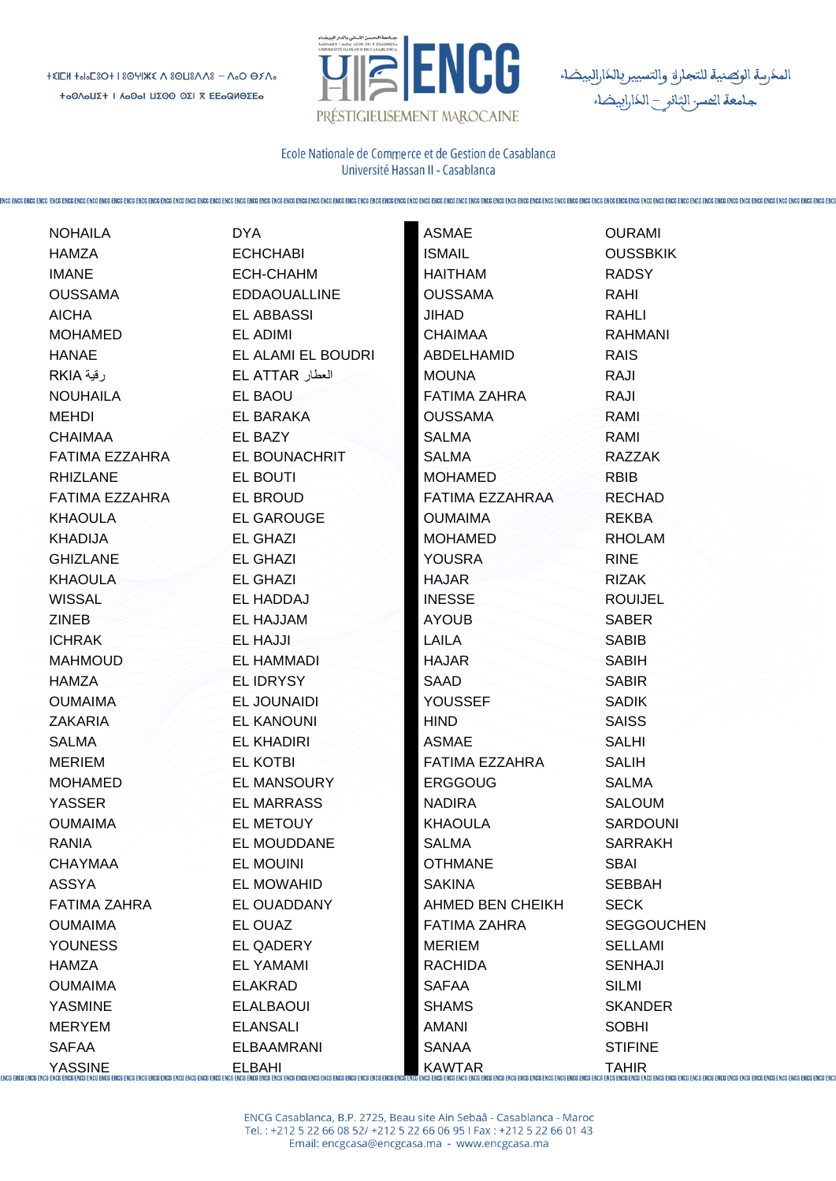

المكرسة الوكصنية للتجاراق والتسيير بالكارالبيضاء<br>جامعة الحسر الثانو \_ الكارابيضاء

Ecole Nationale de Commerce et de Gestion de Casablanca Université Hassan II - Casablanca

|                                      | <b>NOHAILA</b>        | <b>DYA</b>          | <b>ASMAE</b>        | <b>OURAMI</b>     |
|--------------------------------------|-----------------------|---------------------|---------------------|-------------------|
|                                      | <b>HAMZA</b>          | <b>ECHCHABI</b>     | <b>ISMAIL</b>       | <b>OUSSBKIK</b>   |
|                                      | <b>IMANE</b>          | ECH-CHAHM           | <b>HAITHAM</b>      | <b>RADSY</b>      |
|                                      | <b>OUSSAMA</b>        | <b>EDDAOUALLINE</b> | <b>OUSSAMA</b>      | RAHI              |
|                                      | <b>AICHA</b>          | <b>EL ABBASSI</b>   | <b>JIHAD</b>        | <b>RAHLI</b>      |
|                                      | <b>MOHAMED</b>        | EL ADIMI            | <b>CHAIMAA</b>      | <b>RAHMANI</b>    |
|                                      | <b>HANAE</b>          | EL ALAMI EL BOUDRI  | ABDELHAMID          | <b>RAIS</b>       |
|                                      | رقية RKIA             | العطار EL ATTAR     | <b>MOUNA</b>        | RAJI              |
|                                      | <b>NOUHAILA</b>       | EL BAOU             | <b>FATIMA ZAHRA</b> | RAJI              |
|                                      | MEHDI                 | EL BARAKA           | <b>OUSSAMA</b>      | RAMI              |
|                                      | <b>CHAIMAA</b>        | EL BAZY             | <b>SALMA</b>        | RAMI              |
|                                      | <b>FATIMA EZZAHRA</b> | EL BOUNACHRIT       | <b>SALMA</b>        | <b>RAZZAK</b>     |
|                                      | <b>RHIZLANE</b>       | EL BOUTI            | <b>MOHAMED</b>      | <b>RBIB</b>       |
|                                      | FATIMA EZZAHRA        | EL BROUD            | FATIMA EZZAHRAA     | <b>RECHAD</b>     |
|                                      | <b>KHAOULA</b>        | <b>EL GAROUGE</b>   | <b>OUMAIMA</b>      | <b>REKBA</b>      |
|                                      | <b>KHADIJA</b>        | <b>EL GHAZI</b>     | <b>MOHAMED</b>      | <b>RHOLAM</b>     |
|                                      | <b>GHIZLANE</b>       | <b>EL GHAZI</b>     | <b>YOUSRA</b>       | <b>RINE</b>       |
|                                      | <b>KHAOULA</b>        | <b>EL GHAZI</b>     | <b>HAJAR</b>        | <b>RIZAK</b>      |
|                                      | <b>WISSAL</b>         | EL HADDAJ           | <b>INESSE</b>       | <b>ROUIJEL</b>    |
|                                      | <b>ZINEB</b>          | EL HAJJAM           | <b>AYOUB</b>        | <b>SABER</b>      |
|                                      | <b>ICHRAK</b>         | EL HAJJI            | <b>LAILA</b>        | <b>SABIB</b>      |
|                                      | <b>MAHMOUD</b>        | EL HAMMADI          | <b>HAJAR</b>        | <b>SABIH</b>      |
|                                      | <b>HAMZA</b>          | <b>EL IDRYSY</b>    | SAAD                | <b>SABIR</b>      |
|                                      | <b>OUMAIMA</b>        | EL JOUNAIDI         | <b>YOUSSEF</b>      | <b>SADIK</b>      |
|                                      | <b>ZAKARIA</b>        | <b>EL KANOUNI</b>   | <b>HIND</b>         | <b>SAISS</b>      |
|                                      | <b>SALMA</b>          | <b>EL KHADIRI</b>   | <b>ASMAE</b>        | <b>SALHI</b>      |
|                                      | <b>MERIEM</b>         | <b>EL KOTBI</b>     | FATIMA EZZAHRA      | <b>SALIH</b>      |
|                                      | <b>MOHAMED</b>        | EL MANSOURY         | <b>ERGGOUG</b>      | <b>SALMA</b>      |
|                                      | <b>YASSER</b>         | <b>EL MARRASS</b>   | <b>NADIRA</b>       | <b>SALOUM</b>     |
|                                      | <b>OUMAIMA</b>        | EL METOUY           | <b>KHAOULA</b>      | <b>SARDOUNI</b>   |
|                                      | <b>RANIA</b>          | EL MOUDDANE         | <b>SALMA</b>        | <b>SARRAKH</b>    |
|                                      | <b>CHAYMAA</b>        | <b>EL MOUINI</b>    | <b>OTHMANE</b>      | <b>SBAI</b>       |
|                                      | <b>ASSYA</b>          | <b>EL MOWAHID</b>   | <b>SAKINA</b>       | <b>SEBBAH</b>     |
|                                      | <b>FATIMA ZAHRA</b>   | EL OUADDANY         | AHMED BEN CHEIKH    | <b>SECK</b>       |
|                                      | <b>OUMAIMA</b>        | EL OUAZ             | <b>FATIMA ZAHRA</b> | <b>SEGGOUCHEN</b> |
|                                      | <b>YOUNESS</b>        | EL QADERY           | <b>MERIEM</b>       | <b>SELLAMI</b>    |
|                                      | <b>HAMZA</b>          | <b>EL YAMAMI</b>    | <b>RACHIDA</b>      | <b>SENHAJI</b>    |
|                                      | <b>OUMAIMA</b>        | <b>ELAKRAD</b>      | <b>SAFAA</b>        | <b>SILMI</b>      |
|                                      | <b>YASMINE</b>        | <b>ELALBAOUI</b>    | <b>SHAMS</b>        | <b>SKANDER</b>    |
|                                      | <b>MERYEM</b>         | <b>ELANSALI</b>     | AMANI               | <b>SOBHI</b>      |
|                                      | <b>SAFAA</b>          | <b>ELBAAMRANI</b>   | <b>SANAA</b>        | <b>STIFINE</b>    |
| <b>ENCG ENCG ENCG ENCG ENCG ENCG</b> | <b>YASSINE</b>        |                     |                     |                   |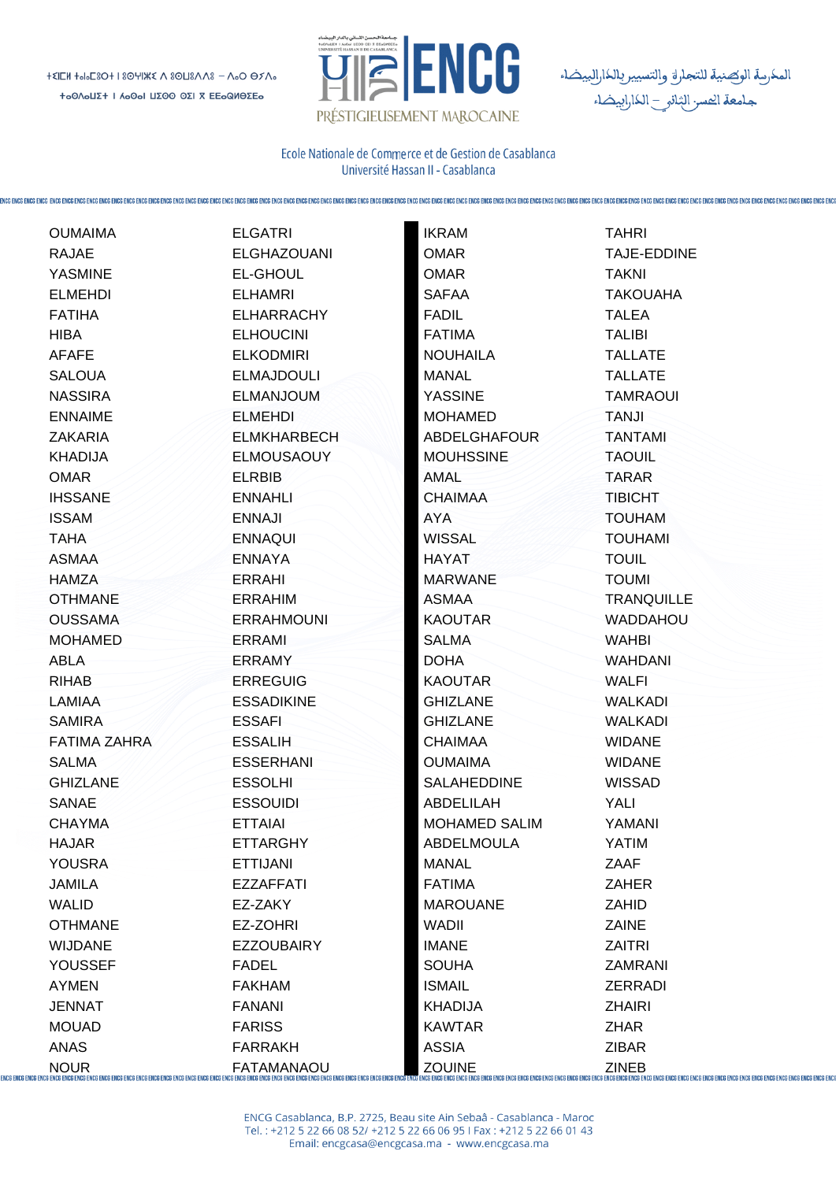$+2IEM + 0.53O + 18OYIKZ A SOUSAAS - A.0 O BXA.$ + <sub>0</sub>ΟΛ **ΟΙΣΗ Ι Λ** Ο ΟΙ ΠΣΟΟ ΟΣΙ Χ ΕΕ Ο ΟΙΘΣΕΟ



المكرسة الوكصنية للتجارق والتسيير بالكارالبيضاء جامعة الحسر الثانو – الكارابيضاء

Ecole Nationale de Commerce et de Gestion de Casablança Université Hassan II - Casablanca

**OUMAIMA RAJAE YASMINF ELMEHDI FATIHA HIRA AFAFE SALOUA NASSIRA ENNAIME ZAKARIA KHADIJA OMAR IHSSANE ISSAM TAHA ASMAA HAMZA OTHMANE OUSSAMA MOHAMED ABLA RIHAB** LAMIAA **SAMIRA FATIMA ZAHRA SALMA GHIZLANE SANAE CHAYMA** HA.JAR YOUSRA **JAMILA WALID OTHMANE WIJDANE** YOUSSEF **AYMEN JENNAT MOUAD ANAS** 

**NOUR** 

**ENCG ENCG ENCG ENCG E** 

**ELGATRI ELGHAZOUANI EL-GHOUL ELHAMRI ELHARRACHY ELHOUCINI ELKODMIRI ELMAJDOULI ELMANJOUM ELMEHDI ELMKHARBECH ELMOUSAOUY ELRBIB ENNAHLI** FNNA.II **ENNAQUI ENNAYA ERRAHI** ERRAHIM **ERRAHMOUNI** FRRAMI ERRAMY **ERREGUIG ESSADIKINE FSSAFL ESSALIH ESSERHANI ESSOLHI ESSOUIDI ETTAIAI FTTARGHY ETTIJANI EZZAFFATI** EZ-ZAKY EZ-ZOHRI **EZZOUBAIRY FADEL FAKHAM FANANI** 

**FARISS** 

**FARRAKH** 

**FATAMANAOU** 

**IKRAM TAHRI OMAR** OMAR **TAKNI SAFAA FADIL TALEA FATIMA TALIBI NOUHAILA MANAL YASSINE TANJI MOHAMED ABDELGHAFOUR MOUHSSINE TAOUIL** AMAL **TARAR CHAIMAA TIBICHT AYA WISSAL HAYAT TOUIL MARWANE TOUMI ASMAA KAOUTAR SAIMA WAHRI DOHA KAOUTAR WALFI GHIZLANE GHIZI ANF CHAIMAA OUMAIMA SALAHEDDINE WISSAD ABDELILAH** YALI **MOHAMED SALIM** YAMANI **ARDELMOULA** YATIM **MANAI 7AAF FATIMA ZAHER MAROUANE ZAHID WADII ZAINE IMANE ZAITRI** SOUHA **ISMAIL ZERRADI KHADIJA ZHAIRI KAWTAR ZHAR ASSIA ZIBAR ZOUINE ZINFR** 

**TAJE-EDDINE TAKOUAHA TALLATE TALLATE TAMRAOUL TANTAMI TOUHAM TOUHAMI TRANQUILLE WADDAHOU WAHDANI WALKADI WAI KADI WIDANE WIDANE ZAMRANI** 

CG ENCG ENCG ENCG ENCG ENCG EN